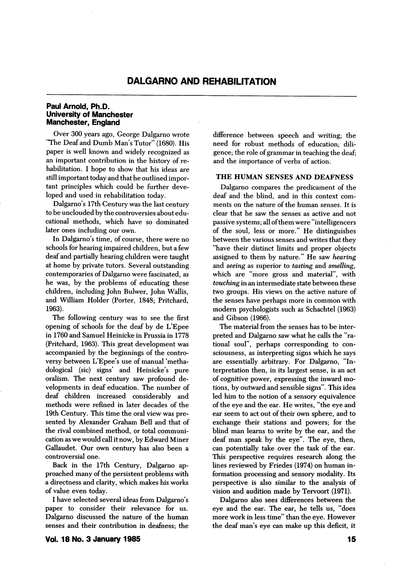## Paul Arnold, Ph.D. University of Manchester Manchester, England

Over 300 years ago, George Dalgarno wrote "The Deaf and Dumb Man's Tutor" (1680). His paper is well known and widely recognized as an important contribution in the history of re habilitation. I hope to show that his ideas are still important today and that he outlined impor tant principles which could be further deve loped and used in rehabilitation today.

Dalgarno's 17th Century was the last century to be unclouded by the controversies about edu cational methods, which have so dominated later ones including our own.

In Dalgarno's time, of course, there were no schools for hearing impaired children, but a few deaf and partially hearing children were taught at home by private tutors. Several outstanding contemporaries of Dalgarno were fascinated, as he was, by the problems of educating these children, including John Bulwer, John Wallis, and William Holder (Porter, 1848; Pritchard, 1963).

The following century was to see the first opening of schools for the deaf by de L'Epee in 1760 and Samuel Heinicke in Prussia in 1778 (Pritchard, 1963). This great development was accompanied by the beginnings of the contro versy between L'Epee's use of manual 'methadological (sic) signs' and Heinicke's pure oralism. The next century saw profound de velopments in deaf education. The number of deaf children increased considerably and methods were refined in later decades of the 19th Century. This time the oral view was pre sented by Alexander Graham Bell and that of the rival combined method, or total communi cation as we would call it now, by Edward Miner Gallaudet. Our own century has also been a controversial one.

Back in the 17th Century, Dalgarno ap proached many of the persistent problems with a directness and clarity, which makes his works of value even today.

I have selected several ideas from Dalgarno's paper to consider their relevance for us. Dalgarno discussed the nature of the human senses and their contribution in deafness; the

Vol. 18 No. 3 January 1985 15

difference between speech and writing; the need for robust methods of education; dili gence; the role of grammar in teaching the deaf; and the importance of verbs of action.

### THE HUMAN SENSES AND DEAFNESS

Dalgarno compares the predicament of the deaf and the blind, and in this context com ments on the nature of the human senses. It is clear that he saw the senses as active and not passive systems; all of them were "intelligencers of the soul, less or more." He distinguishes between the various senses and writes that they "have their distinct limits and proper objects assigned to them by nature." He saw hearing and seeing as superior to tasting and smelling, which are "more gross and material", with touching in an intermediate state between these two groups. His views on the active nature of the senses have perhaps more in common with modem psychologists such as Schachtel (1963) and Gibson (1966).

The material from the senses has to be inter preted and Dalgarno saw what he calls the "ra tional soul", perhaps corresponding to con sciousness, as interpreting signs which he says are essentially arbitrary. For Dalgarno, "In terpretation then, in its largest sense, is an act of cognitive power, expressing the inward mo tions, by outward and sensible signs". This idea led him to the notion of a sensory equivalence of the eye and the ear. He writes, "the eye and ear seem to act out of their own sphere, and to exchange their stations and powers; for the blind man learns to write by the ear, and the deaf man speak by the eye". The eye, then, can potentially take over the task of the ear. This perspective requires research along the lines reviewed by Friedes (1974) on human in formation processing and sensory modality. Its perspective is also similar to the analysis of vision and audition made by Tervoort (1971).

Dalgarno also sees differences between the eye and the ear. The ear, he tells us, "does more work in less time" than the eye. However the deaf man's eye can make up this deficit, it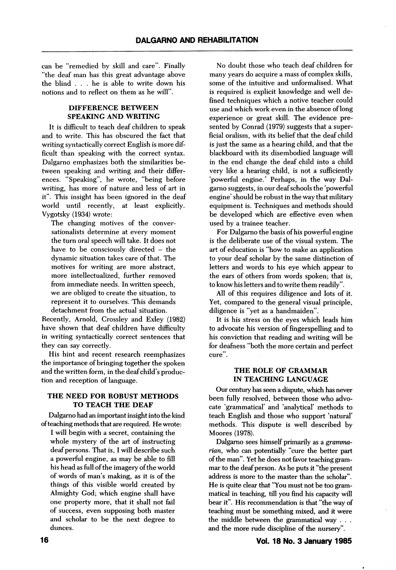can be "remedied by skill and care". Finally "the deaf man has this great advantage above the blind . . . he is able to write down his notions and to reflect on them as he will".

# DIFFERENCE BETWEEN SPEAKING AND WRITING

It is difficult to teach deaf children to speak and to write. This has obscured the fact that writing syntactically correct English is more dif ficult than speaking with the correct syntax. Dalgarno emphasizes both the similarities be tween speaking and writing and their differ ences. "Speaking", he wrote, "being before writing, has more of nature and less of art in it". This insight has been ignored in the deaf world until recently, at least explicitly. Vygotsky (1934) wrote:

The changing motives of the conver sationalists determine at every moment the turn oral speech will take. It does not have to be consciously directed – the dynamic situation takes care of that. The motives for writing are more abstract, more intellectualized, further removed from immediate needs. In written speech, we are obliged to create the situation, to represent it to ourselves. This demands detachment from the actual situation.

Recently, Arnold, Crossley and Exley (1982) have shown that deaf children have difficulty in writing syntactically correct sentences that they can say correctly.

His hint and recent research reemphasizes the importance of bringing together the spoken and the written form, in the deaf child's produc tion and reception of language.

## THE NEED FOR ROBUST METHODS TO TEACH THE DEAF

Dalgamo had an important insight into the kind of teaching methods that are required. He wrote:

I will begin with a secret, containing the whole mystery of the art of instructing deaf persons. That is, I will describe such a powerful engine, as may be able to fill his head as full of the imagery of the world of words of man's making, as it is of the things of this visible world created by Almighty God; which engine shall have one property more, that it shall not fail of success, even supposing both master and scholar to be the next degree to dunces.

No doubt those who teach deaf children for many years do acquire a mass of complex skills, some of the intuitive and unformalised. What is required is explicit knowledge and well de fined techniques which a notive teacher could use and which work even in the absence of long experience or great skill. The evidence pre sented by Conrad (1979) suggests that a super ficial oralism, with its belief that the deaf child is just the same as a hearing child, and that the blackboard with its disembodied language will in the end change the deaf child into a child very like a hearing child, is not a sufficiently 'powerful engine.' Perhaps, in the way Dal garno suggests, in our deaf schools the 'powerful engine' should be robust in the way that military equipment is. Techniques and methods should be developed which are effective even when used by a trainee teacher.

For Dalgamo the basis of his powerful engine is the deliberate use of the visual system. The art of education is "how to make an application to your deaf scholar by the same distinction of letters and words to his eye which appear to the ears of others from words spoken; that is, to know his letters and to write them readily".

All of this requires diligence and lots of it. Yet, compared to the general visual principle, diligence is "yet as a handmaiden".

It is his stress on the eyes which leads him to advocate his version of fingerspelling and to his conviction that reading and writing will be for deafness "both the more certain and perfect cure".

### THE ROLE OF GRAMMAR IN TEACHING LANGUAGE

Our century has seen a dispute, which has never been fully resolved, between those who advo cate 'grammatical' and 'analytical' methods to teach English and those who support 'natural' methods. This dispute is well described by Moores (1978).

Dalgarno sees himself primarily as a grammarian, who can potentially "cure the better part of the man". Yet he does not favor teaching gram mar to the deaf person. As he puts it "the present address is more to the master than the scholar". He is quite clear that "You must not be too gram matical in teaching, till you find his capacity will bear it". His recommendation is that "the way of teaching must be something mixed, and it were the middle between the grammatical way . . . and the more mde discipline of the nursery".